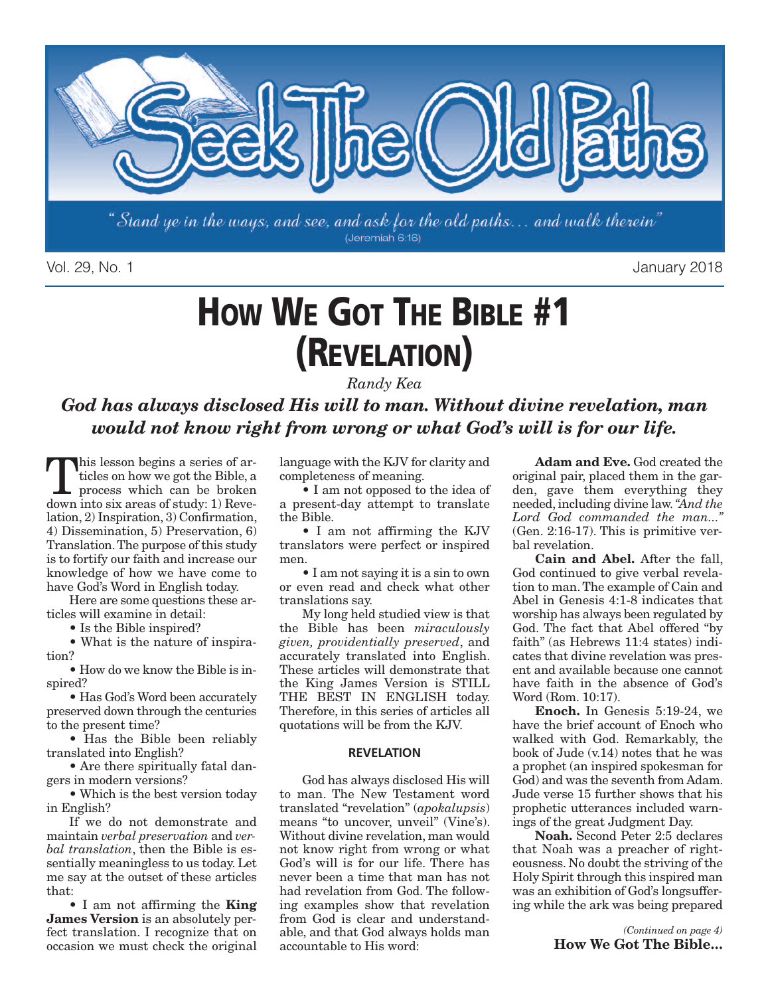

Vol. 29, No. 1 January 2018

# **HOW WE GOT THE BIBLE #1 (REVELATION)**

*Randy Kea*

*God has always disclosed His will to man. Without divine revelation, man would not know right from wrong or what God's will is for our life.*

This lesson begins a series of articles on how we got the Bible, a<br>process which can be broken<br>down into six areas of study: 1) Bayeticles on how we got the Bible, a process which can be broken down into six areas of study: 1) Revelation, 2) Inspiration, 3) Confirmation, 4) Dissemination, 5) Preservation, 6) Translation.The purpose of this study is to fortify our faith and increase our knowledge of how we have come to have God's Word in English today.

Here are some questions these articles will examine in detail:

• Is the Bible inspired?

• What is the nature of inspiration?

• How do we know the Bible is inspired?

• Has God's Word been accurately preserved down through the centuries to the present time?

• Has the Bible been reliably translated into English?

• Are there spiritually fatal dangers in modern versions?

• Which is the best version today in English?

If we do not demonstrate and maintain *verbal preservation* and *verbal translation*, then the Bible is essentially meaningless to us today. Let me say at the outset of these articles that:

• I am not affirming the **King James Version** is an absolutely perfect translation. I recognize that on occasion we must check the original

language with the KJV for clarity and completeness of meaning.

• I am not opposed to the idea of a present-day attempt to translate the Bible.

• I am not affirming the KJV translators were perfect or inspired men.

• I am not saying it is a sin to own or even read and check what other translations say.

My long held studied view is that the Bible has been *miraculously given, providentially preserved*, and accurately translated into English. These articles will demonstrate that the King James Version is STILL THE BEST IN ENGLISH today. Therefore, in this series of articles all quotations will be from the KJV.

### **REVELATION**

God has always disclosed His will to man. The New Testament word translated "revelation" (*apokalupsis*) means "to uncover, unveil" (Vine's). Without divine revelation, man would not know right from wrong or what God's will is for our life. There has never been a time that man has not had revelation from God. The following examples show that revelation from God is clear and understandable, and that God always holds man accountable to His word:

**Adam and Eve.** God created the original pair, placed them in the garden, gave them everything they needed, including divine law.*"And the Lord God commanded the man..."* (Gen. 2:16-17). This is primitive verbal revelation.

**Cain and Abel.** After the fall, God continued to give verbal revelation to man.The example of Cain and Abel in Genesis 4:1-8 indicates that worship has always been regulated by God. The fact that Abel offered "by faith" (as Hebrews 11:4 states) indicates that divine revelation was present and available because one cannot have faith in the absence of God's Word (Rom. 10:17).

**Enoch.** In Genesis 5:19-24, we have the brief account of Enoch who walked with God. Remarkably, the book of Jude (v.14) notes that he was a prophet (an inspired spokesman for God) and was the seventh from Adam. Jude verse 15 further shows that his prophetic utterances included warnings of the great Judgment Day.

**Noah.** Second Peter 2:5 declares that Noah was a preacher of righteousness. No doubt the striving of the Holy Spirit through this inspired man was an exhibition of God's longsuffering while the ark was being prepared

> *(Continued on page 4)* **How We Got The Bible…**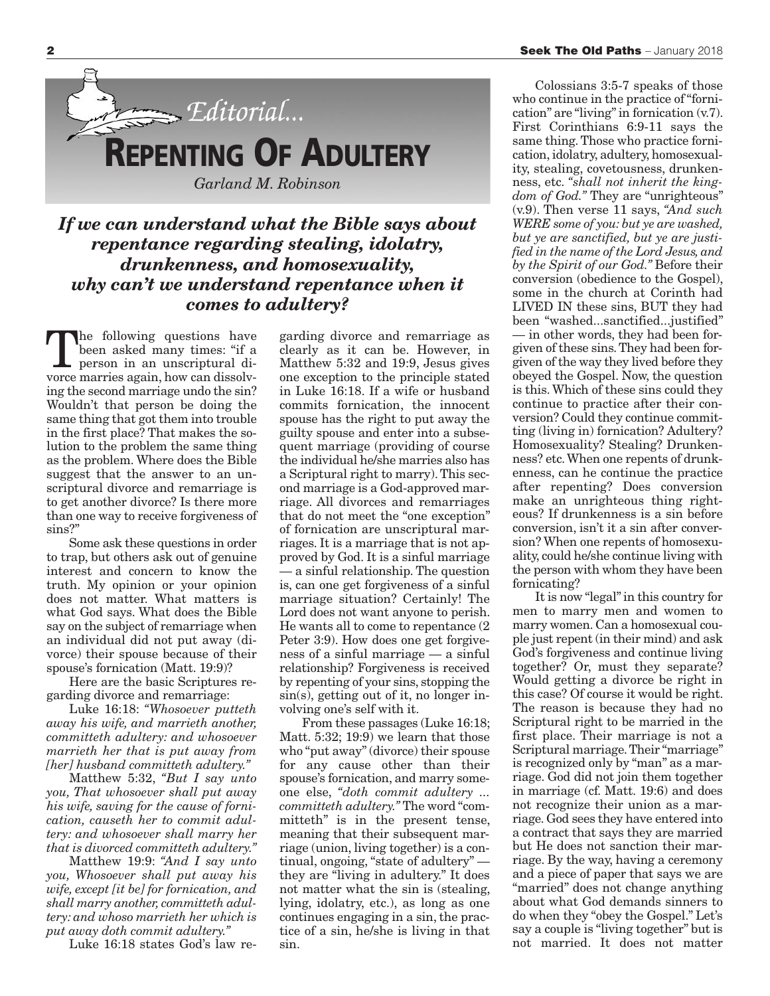

### *If we can understand what the Bible says about repentance regarding stealing, idolatry, drunkenness, and homosexuality, why can't we understand repentance when it comes to adultery?*

The following questions have<br>been asked many times: "if a<br>person in an unscriptural dibeen asked many times: "if a person in an unscriptural divorce marries again, how can dissolving the second marriage undo the sin? Wouldn't that person be doing the same thing that got them into trouble in the first place? That makes the solution to the problem the same thing as the problem. Where does the Bible suggest that the answer to an unscriptural divorce and remarriage is to get another divorce? Is there more than one way to receive forgiveness of sins?"

Some ask these questions in order to trap, but others ask out of genuine interest and concern to know the truth. My opinion or your opinion does not matter. What matters is what God says. What does the Bible say on the subject of remarriage when an individual did not put away (divorce) their spouse because of their spouse's fornication (Matt. 19:9)?

Here are the basic Scriptures regarding divorce and remarriage:

Luke 16:18: *"Whosoever putteth away his wife, and marrieth another, committeth adultery: and whosoever marrieth her that is put away from [her] husband committeth adultery."*

Matthew 5:32, *"But I say unto you, That whosoever shall put away his wife, saving for the cause of fornication, causeth her to commit adultery: and whosoever shall marry her that is divorced committeth adultery."*

Matthew 19:9: *"And I say unto you, Whosoever shall put away his wife, except [it be] for fornication, and shall marry another, committeth adultery: and whoso marrieth her which is put away doth commit adultery."*

Luke 16:18 states God's law re-

garding divorce and remarriage as clearly as it can be. However, in Matthew 5:32 and 19:9, Jesus gives one exception to the principle stated in Luke 16:18. If a wife or husband commits fornication, the innocent spouse has the right to put away the guilty spouse and enter into a subsequent marriage (providing of course the individual he/she marries also has a Scriptural right to marry).This second marriage is a God-approved marriage. All divorces and remarriages that do not meet the "one exception" of fornication are unscriptural marriages. It is a marriage that is not approved by God. It is a sinful marriage — a sinful relationship. The question is, can one get forgiveness of a sinful marriage situation? Certainly! The Lord does not want anyone to perish. He wants all to come to repentance (2 Peter 3:9). How does one get forgiveness of a sinful marriage — a sinful relationship? Forgiveness is received by repenting of your sins, stopping the sin(s), getting out of it, no longer involving one's self with it.

From these passages (Luke 16:18; Matt. 5:32; 19:9) we learn that those who "put away"(divorce) their spouse for any cause other than their spouse's fornication, and marry someone else, *"doth commit adultery ... committeth adultery."* The word "committeth" is in the present tense, meaning that their subsequent marriage (union, living together) is a continual, ongoing, "state of adultery" they are "living in adultery." It does not matter what the sin is (stealing, lying, idolatry, etc.), as long as one continues engaging in a sin, the practice of a sin, he/she is living in that sin.

Colossians 3:5-7 speaks of those who continue in the practice of "fornication" are "living"in fornication (v.7). First Corinthians 6:9-11 says the same thing.Those who practice fornication, idolatry, adultery, homosexuality, stealing, covetousness, drunkenness, etc. *"shall not inherit the kingdom of God."* They are "unrighteous" (v.9). Then verse 11 says, *"And such WERE some of you: but ye are washed, but ye are sanctified, but ye are justified in the name of the Lord Jesus, and by the Spirit of our God."* Before their conversion (obedience to the Gospel), some in the church at Corinth had LIVED IN these sins, BUT they had been "washed...sanctified...justified" — in other words, they had been forgiven of these sins.They had been forgiven of the way they lived before they obeyed the Gospel. Now, the question is this. Which of these sins could they continue to practice after their conversion? Could they continue committing (living in) fornication? Adultery? Homosexuality? Stealing? Drunkenness? etc.When one repents of drunkenness, can he continue the practice after repenting? Does conversion make an unrighteous thing righteous? If drunkenness is a sin before conversion, isn't it a sin after conversion? When one repents of homosexuality, could he/she continue living with the person with whom they have been fornicating?

It is now "legal"in this country for men to marry men and women to marry women. Can a homosexual couple just repent (in their mind) and ask God's forgiveness and continue living together? Or, must they separate? Would getting a divorce be right in this case? Of course it would be right. The reason is because they had no Scriptural right to be married in the first place. Their marriage is not a Scriptural marriage.Their "marriage" is recognized only by "man" as a marriage. God did not join them together in marriage (cf. Matt. 19:6) and does not recognize their union as a marriage. God sees they have entered into a contract that says they are married but He does not sanction their marriage. By the way, having a ceremony and a piece of paper that says we are "married" does not change anything about what God demands sinners to do when they "obey the Gospel." Let's say a couple is "living together" but is not married. It does not matter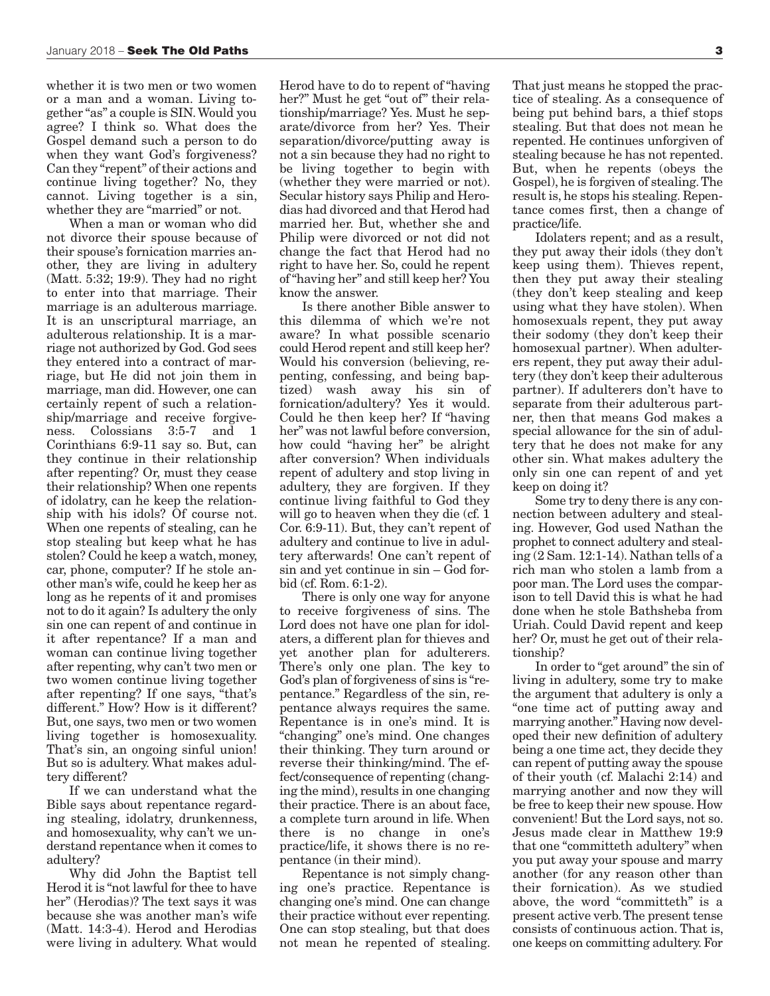whether it is two men or two women or a man and a woman. Living together "as" a couple is SIN.Would you agree? I think so. What does the Gospel demand such a person to do when they want God's forgiveness? Can they "repent" of their actions and continue living together? No, they cannot. Living together is a sin, whether they are "married" or not.

When a man or woman who did not divorce their spouse because of their spouse's fornication marries another, they are living in adultery (Matt. 5:32; 19:9). They had no right to enter into that marriage. Their marriage is an adulterous marriage. It is an unscriptural marriage, an adulterous relationship. It is a marriage not authorized by God. God sees they entered into a contract of marriage, but He did not join them in marriage, man did. However, one can certainly repent of such a relationship/marriage and receive forgiveness. Colossians 3:5-7 and 1 Corinthians 6:9-11 say so. But, can they continue in their relationship after repenting? Or, must they cease their relationship? When one repents of idolatry, can he keep the relationship with his idols? Of course not. When one repents of stealing, can he stop stealing but keep what he has stolen? Could he keep a watch, money, car, phone, computer? If he stole another man's wife, could he keep her as long as he repents of it and promises not to do it again? Is adultery the only sin one can repent of and continue in it after repentance? If a man and woman can continue living together after repenting, why can't two men or two women continue living together after repenting? If one says, "that's different." How? How is it different? But, one says, two men or two women living together is homosexuality. That's sin, an ongoing sinful union! But so is adultery. What makes adultery different?

If we can understand what the Bible says about repentance regarding stealing, idolatry, drunkenness, and homosexuality, why can't we understand repentance when it comes to adultery?

Why did John the Baptist tell Herod it is "not lawful for thee to have her" (Herodias)? The text says it was because she was another man's wife (Matt. 14:3-4). Herod and Herodias were living in adultery. What would

Herod have to do to repent of "having her?" Must he get "out of" their relationship/marriage? Yes. Must he separate/divorce from her? Yes. Their separation/divorce/putting away is not a sin because they had no right to be living together to begin with (whether they were married or not). Secular history says Philip and Herodias had divorced and that Herod had married her. But, whether she and Philip were divorced or not did not change the fact that Herod had no right to have her. So, could he repent of"having her" and still keep her? You know the answer.

Is there another Bible answer to this dilemma of which we're not aware? In what possible scenario could Herod repent and still keep her? Would his conversion (believing, repenting, confessing, and being baptized) wash away his sin of fornication/adultery? Yes it would. Could he then keep her? If "having her" was not lawful before conversion, how could "having her" be alright after conversion? When individuals repent of adultery and stop living in adultery, they are forgiven. If they continue living faithful to God they will go to heaven when they die (cf. 1) Cor. 6:9-11). But, they can't repent of adultery and continue to live in adultery afterwards! One can't repent of sin and yet continue in sin – God forbid (cf. Rom. 6:1-2).

There is only one way for anyone to receive forgiveness of sins. The Lord does not have one plan for idolaters, a different plan for thieves and yet another plan for adulterers. There's only one plan. The key to God's plan of forgiveness of sins is "repentance." Regardless of the sin, repentance always requires the same. Repentance is in one's mind. It is "changing" one's mind. One changes their thinking. They turn around or reverse their thinking/mind. The effect/consequence of repenting (changing the mind), results in one changing their practice. There is an about face, a complete turn around in life. When there is no change in one's practice/life, it shows there is no repentance (in their mind).

Repentance is not simply changing one's practice. Repentance is changing one's mind. One can change their practice without ever repenting. One can stop stealing, but that does not mean he repented of stealing.

That just means he stopped the practice of stealing. As a consequence of being put behind bars, a thief stops stealing. But that does not mean he repented. He continues unforgiven of stealing because he has not repented. But, when he repents (obeys the Gospel), he is forgiven of stealing.The result is, he stops his stealing. Repentance comes first, then a change of practice/life.

Idolaters repent; and as a result, they put away their idols (they don't keep using them). Thieves repent, then they put away their stealing (they don't keep stealing and keep using what they have stolen). When homosexuals repent, they put away their sodomy (they don't keep their homosexual partner). When adulterers repent, they put away their adultery (they don't keep their adulterous partner). If adulterers don't have to separate from their adulterous partner, then that means God makes a special allowance for the sin of adultery that he does not make for any other sin. What makes adultery the only sin one can repent of and yet keep on doing it?

Some try to deny there is any connection between adultery and stealing. However, God used Nathan the prophet to connect adultery and stealing (2 Sam. 12:1-14). Nathan tells of a rich man who stolen a lamb from a poor man. The Lord uses the comparison to tell David this is what he had done when he stole Bathsheba from Uriah. Could David repent and keep her? Or, must he get out of their relationship?

In order to "get around" the sin of living in adultery, some try to make the argument that adultery is only a "one time act of putting away and marrying another." Having now developed their new definition of adultery being a one time act, they decide they can repent of putting away the spouse of their youth (cf. Malachi 2:14) and marrying another and now they will be free to keep their new spouse. How convenient! But the Lord says, not so. Jesus made clear in Matthew 19:9 that one "committeth adultery" when you put away your spouse and marry another (for any reason other than their fornication). As we studied above, the word "committeth" is a present active verb.The present tense consists of continuous action. That is, one keeps on committing adultery. For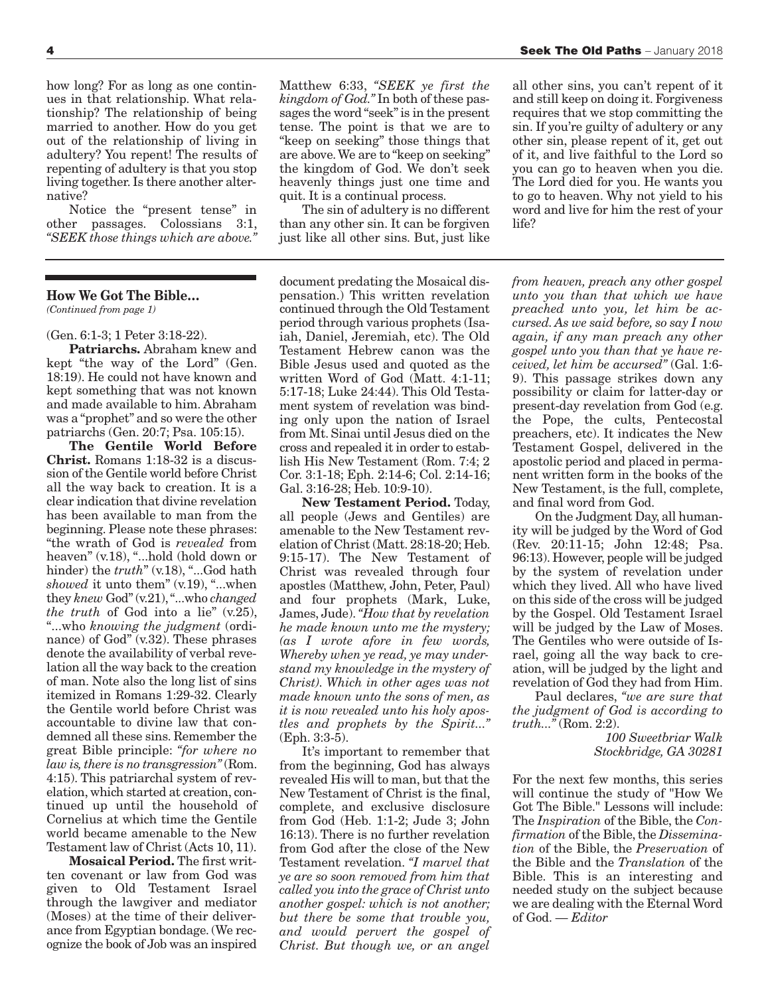how long? For as long as one continues in that relationship. What relationship? The relationship of being married to another. How do you get out of the relationship of living in adultery? You repent! The results of repenting of adultery is that you stop living together. Is there another alternative?

Notice the "present tense" in other passages. Colossians 3:1, *"SEEK those things which are above."*

### **How We Got The Bible…**

*(Continued from page 1)*

### (Gen. 6:1-3; 1 Peter 3:18-22).

**Patriarchs.** Abraham knew and kept "the way of the Lord" (Gen. 18:19). He could not have known and kept something that was not known and made available to him. Abraham was a "prophet" and so were the other patriarchs (Gen. 20:7; Psa. 105:15).

**The Gentile World Before Christ.** Romans 1:18-32 is a discussion of the Gentile world before Christ all the way back to creation. It is a clear indication that divine revelation has been available to man from the beginning. Please note these phrases: "the wrath of God is *revealed* from heaven" (v.18), "...hold (hold down or hinder) the *truth*" (v.18), "...God hath *showed* it unto them" (v.19), "...when they *knew* God"(v.21),"...who *changed the truth* of God into a lie" (v.25), "...who *knowing the judgment* (ordinance) of God" (v.32). These phrases denote the availability of verbal revelation all the way back to the creation of man. Note also the long list of sins itemized in Romans 1:29-32. Clearly the Gentile world before Christ was accountable to divine law that condemned all these sins. Remember the great Bible principle: *"for where no law is,there is no transgression"*(Rom. 4:15). This patriarchal system of revelation, which started at creation, continued up until the household of Cornelius at which time the Gentile world became amenable to the New Testament law of Christ (Acts 10, 11).

**Mosaical Period.** The first written covenant or law from God was given to Old Testament Israel through the lawgiver and mediator (Moses) at the time of their deliverance from Egyptian bondage. (We recognize the book of Job was an inspired

Matthew 6:33, *"SEEK ye first the kingdom of God."* In both of these passages the word "seek"is in the present tense. The point is that we are to "keep on seeking" those things that are above.We are to "keep on seeking" the kingdom of God. We don't seek heavenly things just one time and quit. It is a continual process.

The sin of adultery is no different than any other sin. It can be forgiven just like all other sins. But, just like

document predating the Mosaical dispensation.) This written revelation continued through the Old Testament period through various prophets (Isaiah, Daniel, Jeremiah, etc). The Old Testament Hebrew canon was the Bible Jesus used and quoted as the written Word of God (Matt. 4:1-11; 5:17-18; Luke 24:44). This Old Testament system of revelation was binding only upon the nation of Israel from Mt. Sinai until Jesus died on the cross and repealed it in order to establish His New Testament (Rom. 7:4; 2 Cor. 3:1-18; Eph. 2:14-6; Col. 2:14-16; Gal. 3:16-28; Heb. 10:9-10).

**New Testament Period.** Today, all people (Jews and Gentiles) are amenable to the New Testament revelation of Christ (Matt. 28:18-20; Heb. 9:15-17). The New Testament of Christ was revealed through four apostles (Matthew, John, Peter, Paul) and four prophets (Mark, Luke, James, Jude).*"How that by revelation he made known unto me the mystery; (as I wrote afore in few words, Whereby when ye read, ye may understand my knowledge in the mystery of Christ). Which in other ages was not made known unto the sons of men, as it is now revealed unto his holy apostles and prophets by the Spirit..."* (Eph. 3:3-5).

It's important to remember that from the beginning, God has always revealed His will to man, but that the New Testament of Christ is the final, complete, and exclusive disclosure from God (Heb. 1:1-2; Jude 3; John 16:13). There is no further revelation from God after the close of the New Testament revelation. *"I marvel that ye are so soon removed from him that called you into the grace of Christ unto another gospel: which is not another; but there be some that trouble you, and would pervert the gospel of Christ. But though we, or an angel*

all other sins, you can't repent of it and still keep on doing it. Forgiveness requires that we stop committing the sin. If you're guilty of adultery or any other sin, please repent of it, get out of it, and live faithful to the Lord so you can go to heaven when you die. The Lord died for you. He wants you to go to heaven. Why not yield to his word and live for him the rest of your life?

*from heaven, preach any other gospel unto you than that which we have preached unto you, let him be accursed. As we said before, so say I now again, if any man preach any other gospel unto you than that ye have received, let him be accursed"* (Gal. 1:6- 9). This passage strikes down any possibility or claim for latter-day or present-day revelation from God (e.g. the Pope, the cults, Pentecostal preachers, etc). It indicates the New Testament Gospel, delivered in the apostolic period and placed in permanent written form in the books of the New Testament, is the full, complete, and final word from God.

On the Judgment Day, all humanity will be judged by the Word of God (Rev. 20:11-15; John 12:48; Psa. 96:13). However, people will be judged by the system of revelation under which they lived. All who have lived on this side of the cross will be judged by the Gospel. Old Testament Israel will be judged by the Law of Moses. The Gentiles who were outside of Israel, going all the way back to creation, will be judged by the light and revelation of God they had from Him.

Paul declares, *"we are sure that the judgment of God is according to truth..."* (Rom. 2:2).

*100 Sweetbriar Walk Stockbridge, GA 30281*

For the next few months, this series will continue the study of "How We Got The Bible." Lessons will include: The *Inspiration* of the Bible, the *Confirmation* of the Bible, the *Dissemination* of the Bible, the *Preservation* of the Bible and the *Translation* of the Bible. This is an interesting and needed study on the subject because we are dealing with the Eternal Word of God. *— Editor*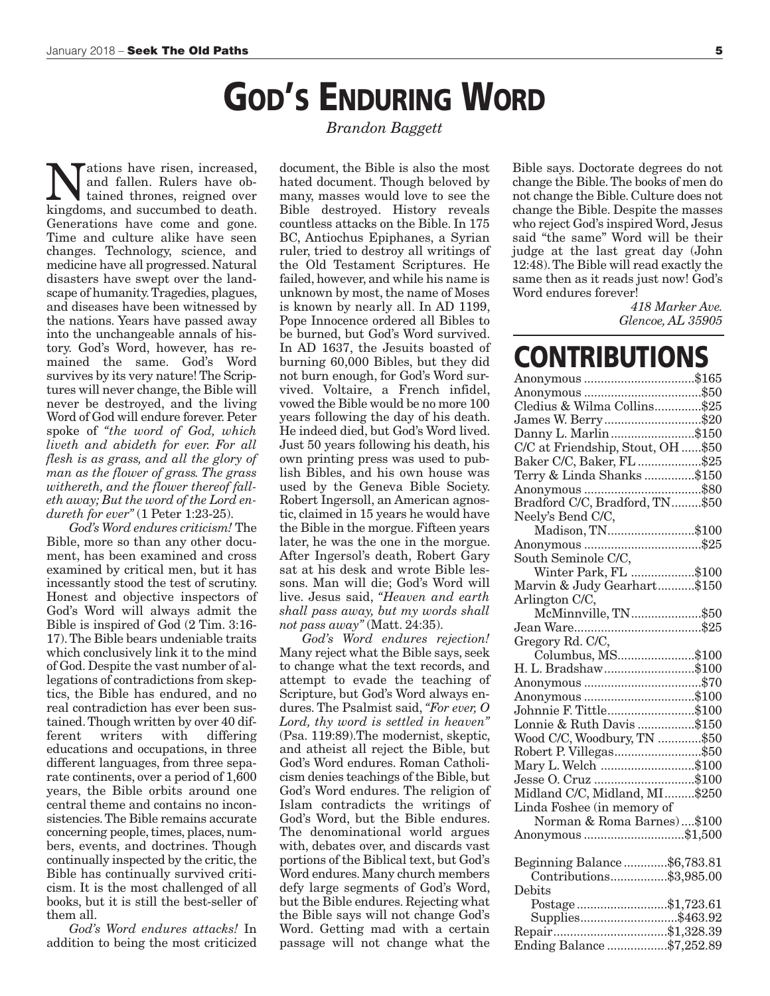## **GOD'S ENDURING WORD**

*Brandon Baggett*

**Nations have risen, increased,**<br>
and fallen. Rulers have ob-<br>
kingdoms and succumbed to death and fallen. Rulers have obkingdoms, and succumbed to death. Generations have come and gone. Time and culture alike have seen changes. Technology, science, and medicine have all progressed. Natural disasters have swept over the landscape of humanity.Tragedies, plagues, and diseases have been witnessed by the nations. Years have passed away into the unchangeable annals of history. God's Word, however, has remained the same. God's Word survives by its very nature! The Scriptures will never change, the Bible will never be destroyed, and the living Word of God will endure forever. Peter spoke of *"the word of God, which liveth and abideth for ever. For all flesh is as grass, and all the glory of man as the flower of grass. The grass withereth, and the flower thereof falleth away; But the word of the Lord endureth for ever"* (1 Peter 1:23-25).

*God's Word endures criticism!* The Bible, more so than any other document, has been examined and cross examined by critical men, but it has incessantly stood the test of scrutiny. Honest and objective inspectors of God's Word will always admit the Bible is inspired of God (2 Tim. 3:16- 17).The Bible bears undeniable traits which conclusively link it to the mind of God. Despite the vast number of allegations of contradictions from skeptics, the Bible has endured, and no real contradiction has ever been sustained.Though written by over 40 different writers with differing educations and occupations, in three different languages, from three separate continents, over a period of 1,600 years, the Bible orbits around one central theme and contains no inconsistencies.The Bible remains accurate concerning people, times, places, numbers, events, and doctrines. Though continually inspected by the critic, the Bible has continually survived criticism. It is the most challenged of all books, but it is still the best-seller of them all.

*God's Word endures attacks!* In addition to being the most criticized document, the Bible is also the most hated document. Though beloved by many, masses would love to see the Bible destroyed. History reveals countless attacks on the Bible. In 175 BC, Antiochus Epiphanes, a Syrian ruler, tried to destroy all writings of the Old Testament Scriptures. He failed, however, and while his name is unknown by most, the name of Moses is known by nearly all. In AD 1199, Pope Innocence ordered all Bibles to be burned, but God's Word survived. In AD 1637, the Jesuits boasted of burning 60,000 Bibles, but they did not burn enough, for God's Word survived. Voltaire, a French infidel, vowed the Bible would be no more 100 years following the day of his death. He indeed died, but God's Word lived. Just 50 years following his death, his own printing press was used to publish Bibles, and his own house was used by the Geneva Bible Society. Robert Ingersoll, an American agnostic, claimed in 15 years he would have the Bible in the morgue. Fifteen years later, he was the one in the morgue. After Ingersol's death, Robert Gary sat at his desk and wrote Bible lessons. Man will die; God's Word will live. Jesus said, *"Heaven and earth shall pass away, but my words shall not pass away"* (Matt. 24:35).

*God's Word endures rejection!* Many reject what the Bible says, seek to change what the text records, and attempt to evade the teaching of Scripture, but God's Word always endures. The Psalmist said, *"For ever, O Lord, thy word is settled in heaven"* (Psa. 119:89).The modernist, skeptic, and atheist all reject the Bible, but God's Word endures. Roman Catholicism denies teachings of the Bible, but God's Word endures. The religion of Islam contradicts the writings of God's Word, but the Bible endures. The denominational world argues with, debates over, and discards vast portions of the Biblical text, but God's Word endures. Many church members defy large segments of God's Word, but the Bible endures. Rejecting what the Bible says will not change God's Word. Getting mad with a certain passage will not change what the

Bible says. Doctorate degrees do not change the Bible.The books of men do not change the Bible. Culture does not change the Bible. Despite the masses who reject God's inspired Word, Jesus said "the same" Word will be their judge at the last great day (John 12:48).The Bible will read exactly the same then as it reads just now! God's Word endures forever!

> *418 Marker Ave. Glencoe, AL 35905*

## **CONTRIBUTIONS**

| Anonymous \$165                    |  |
|------------------------------------|--|
|                                    |  |
| Cledius & Wilma Collins\$25        |  |
| James W. Berry\$20                 |  |
| Danny L. Marlin\$150               |  |
| C/C at Friendship, Stout, OH  \$50 |  |
| Baker C/C, Baker, FL \$25          |  |
| Terry & Linda Shanks \$150         |  |
|                                    |  |
|                                    |  |
| Neely's Bend C/C,                  |  |
| Madison, TN\$100                   |  |
|                                    |  |
|                                    |  |
| Winter Park, FL \$100              |  |
| Marvin & Judy Gearhart\$150        |  |
| Arlington C/C,                     |  |
| McMinnville, TN\$50                |  |
|                                    |  |
| Gregory Rd. C/C,                   |  |
| Columbus, MS\$100                  |  |
| H. L. Bradshaw\$100                |  |
|                                    |  |
| Anonymous \$100                    |  |
| Johnnie F. Tittle\$100             |  |
| Lonnie & Ruth Davis \$150          |  |
| Wood C/C, Woodbury, TN \$50        |  |
| Robert P. Villegas\$50             |  |
| Mary L. Welch \$100                |  |
| Jesse O. Cruz \$100                |  |
| Midland C/C, Midland, MI\$250      |  |
| Linda Foshee (in memory of         |  |
| Norman & Roma Barnes)\$100         |  |
| Anonymous \$1,500                  |  |
|                                    |  |
| Beginning Balance\$6,783.81        |  |
| Contributions\$3,985.00            |  |
| Debits                             |  |
| Postage\$1,723.61                  |  |
| Supplies\$463.92                   |  |
| Repair\$1,328.39                   |  |
| Ending Balance\$7,252.89           |  |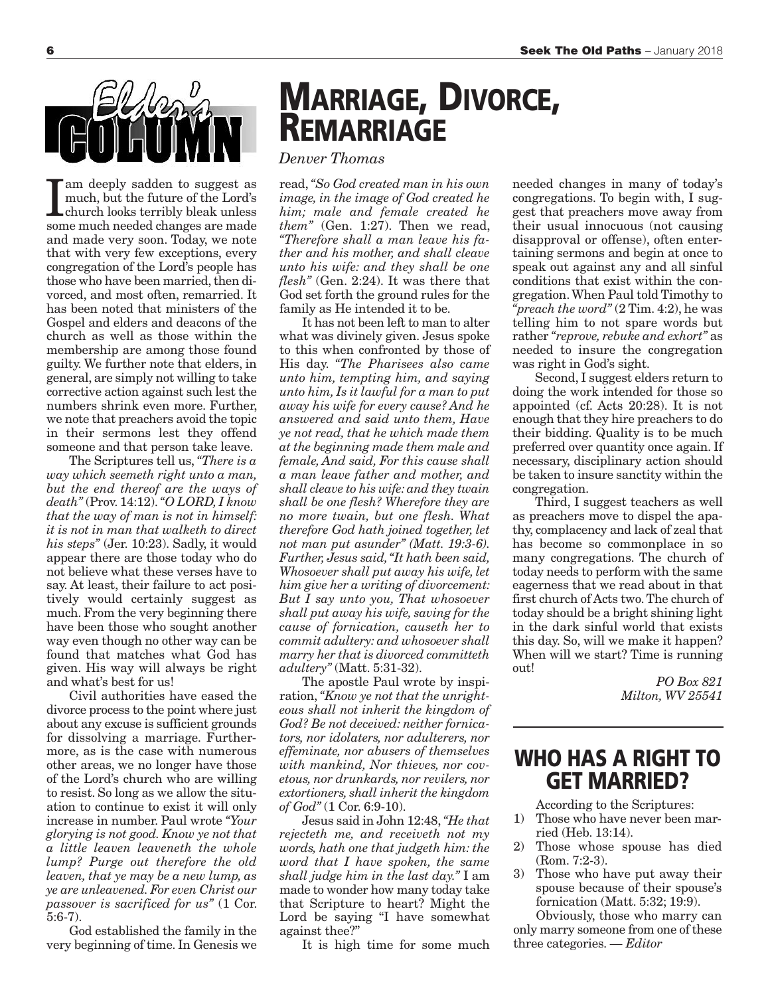

I am deeply sadden to suggest as<br>much, but the future of the Lord's<br>church looks terribly bleak unless<br>some much needed changes are made am deeply sadden to suggest as much, but the future of the Lord's church looks terribly bleak unless and made very soon. Today, we note that with very few exceptions, every congregation of the Lord's people has those who have been married, then divorced, and most often, remarried. It has been noted that ministers of the Gospel and elders and deacons of the church as well as those within the membership are among those found guilty. We further note that elders, in general, are simply not willing to take corrective action against such lest the numbers shrink even more. Further, we note that preachers avoid the topic in their sermons lest they offend someone and that person take leave.

The Scriptures tell us, *"There is a way which seemeth right unto a man, but the end thereof are the ways of death"* (Prov. 14:12).*"O LORD, I know that the way of man is not in himself: it is not in man that walketh to direct his steps"* (Jer. 10:23). Sadly, it would appear there are those today who do not believe what these verses have to say. At least, their failure to act positively would certainly suggest as much. From the very beginning there have been those who sought another way even though no other way can be found that matches what God has given. His way will always be right and what's best for us!

Civil authorities have eased the divorce process to the point where just about any excuse is sufficient grounds for dissolving a marriage. Furthermore, as is the case with numerous other areas, we no longer have those of the Lord's church who are willing to resist. So long as we allow the situation to continue to exist it will only increase in number. Paul wrote *"Your glorying is not good. Know ye not that a little leaven leaveneth the whole lump? Purge out therefore the old leaven, that ye may be a new lump, as ye are unleavened. For even Christ our passover is sacrificed for us"* (1 Cor. 5:6-7).

God established the family in the very beginning of time. In Genesis we

# **MARRIAGE, DIVORCE, REMARRIAGE**

### *Denver Thomas*

read,*"So God created man in his own image, in the image of God created he him; male and female created he them"* (Gen. 1:27). Then we read, *"Therefore shall a man leave his father and his mother, and shall cleave unto his wife: and they shall be one flesh"* (Gen. 2:24). It was there that God set forth the ground rules for the family as He intended it to be.

It has not been left to man to alter what was divinely given. Jesus spoke to this when confronted by those of His day. *"The Pharisees also came unto him, tempting him, and saying unto him, Is it lawful for a man to put away his wife for every cause? And he answered and said unto them, Have ye not read, that he which made them at the beginning made them male and female, And said, For this cause shall a man leave father and mother, and shall cleave to his wife: and they twain shall be one flesh? Wherefore they are no more twain, but one flesh. What therefore God hath joined together, let not man put asunder" (Matt. 19:3-6). Further, Jesus said,"It hath been said, Whosoever shall put away his wife, let him give her a writing of divorcement: But I say unto you, That whosoever shall put away his wife, saving for the cause of fornication, causeth her to commit adultery: and whosoever shall marry her that is divorced committeth adultery"* (Matt. 5:31-32).

The apostle Paul wrote by inspiration, *"Know ye not that the unrighteous shall not inherit the kingdom of God? Be not deceived: neither fornicators, nor idolaters, nor adulterers, nor effeminate, nor abusers of themselves with mankind, Nor thieves, nor covetous, nor drunkards, nor revilers, nor extortioners, shall inherit the kingdom of God"* (1 Cor. 6:9-10).

Jesus said in John 12:48,*"He that rejecteth me, and receiveth not my words, hath one that judgeth him: the word that I have spoken, the same shall judge him in the last day."* I am made to wonder how many today take that Scripture to heart? Might the Lord be saying "I have somewhat against thee?"

It is high time for some much

needed changes in many of today's congregations. To begin with, I suggest that preachers move away from their usual innocuous (not causing disapproval or offense), often entertaining sermons and begin at once to speak out against any and all sinful conditions that exist within the congregation.When Paul told Timothy to *"preach the word"* (2 Tim. 4:2), he was telling him to not spare words but rather *"reprove, rebuke and exhort"* as needed to insure the congregation was right in God's sight.

Second, I suggest elders return to doing the work intended for those so appointed (cf. Acts 20:28). It is not enough that they hire preachers to do their bidding. Quality is to be much preferred over quantity once again. If necessary, disciplinary action should be taken to insure sanctity within the congregation.

Third, I suggest teachers as well as preachers move to dispel the apathy, complacency and lack of zeal that has become so commonplace in so many congregations. The church of today needs to perform with the same eagerness that we read about in that first church of Acts two.The church of today should be a bright shining light in the dark sinful world that exists this day. So, will we make it happen? When will we start? Time is running out!

> *PO Box 821 Milton, WV 25541*

### **WHO HAS A RIGHT TO GET MARRIED?**

According to the Scriptures:

- 1) Those who have never been married (Heb. 13:14).
- 2) Those whose spouse has died (Rom. 7:2-3).
- 3) Those who have put away their spouse because of their spouse's fornication (Matt. 5:32; 19:9).

Obviously, those who marry can only marry someone from one of these three categories. *— Editor*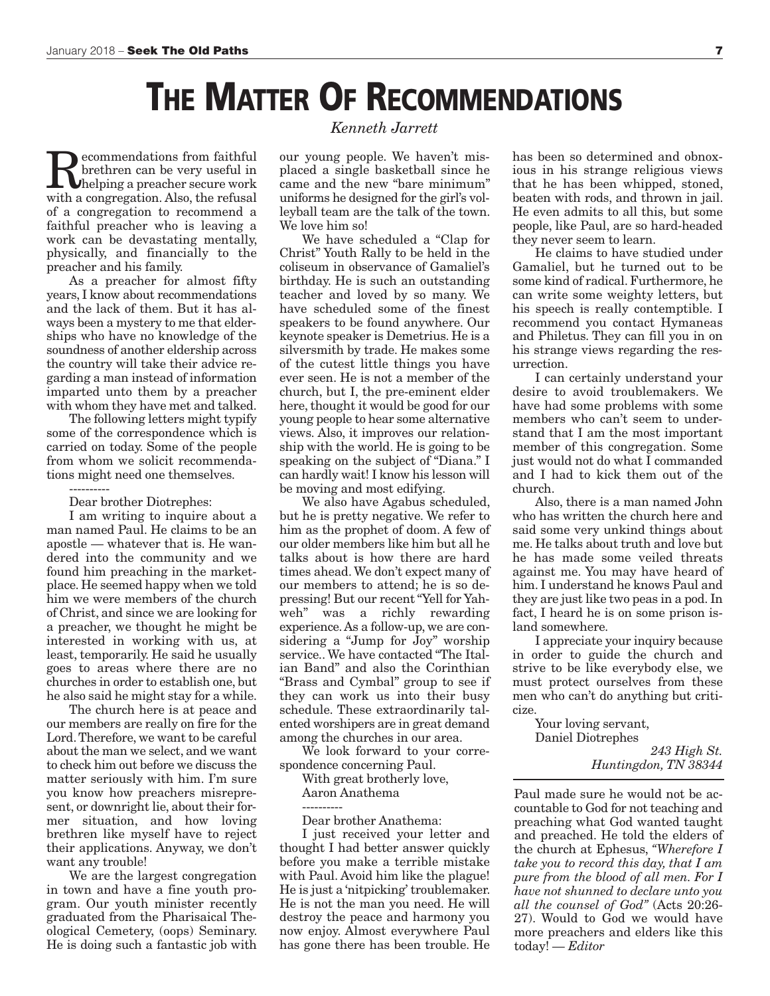## **THE MATTER OF RECOMMENDATIONS**

**Recommendations from faithful**<br>
helping a preacher secure work<br>
with a congregation Also, the refusal brethren can be very useful in with a congregation. Also, the refusal of a congregation to recommend a faithful preacher who is leaving a work can be devastating mentally, physically, and financially to the preacher and his family.

As a preacher for almost fifty years, I know about recommendations and the lack of them. But it has always been a mystery to me that elderships who have no knowledge of the soundness of another eldership across the country will take their advice regarding a man instead of information imparted unto them by a preacher with whom they have met and talked.

The following letters might typify some of the correspondence which is carried on today. Some of the people from whom we solicit recommendations might need one themselves.

Dear brother Diotrephes:

----------

I am writing to inquire about a man named Paul. He claims to be an apostle — whatever that is. He wandered into the community and we found him preaching in the marketplace. He seemed happy when we told him we were members of the church of Christ, and since we are looking for a preacher, we thought he might be interested in working with us, at least, temporarily. He said he usually goes to areas where there are no churches in order to establish one, but he also said he might stay for a while.

The church here is at peace and our members are really on fire for the Lord.Therefore, we want to be careful about the man we select, and we want to check him out before we discuss the matter seriously with him. I'm sure you know how preachers misrepresent, or downright lie, about their former situation, and how loving brethren like myself have to reject their applications. Anyway, we don't want any trouble!

We are the largest congregation in town and have a fine youth program. Our youth minister recently graduated from the Pharisaical Theological Cemetery, (oops) Seminary. He is doing such a fantastic job with

### *Kenneth Jarrett*

our young people. We haven't misplaced a single basketball since he came and the new "bare minimum" uniforms he designed for the girl's volleyball team are the talk of the town. We love him so!

We have scheduled a "Clap for Christ" Youth Rally to be held in the coliseum in observance of Gamaliel's birthday. He is such an outstanding teacher and loved by so many. We have scheduled some of the finest speakers to be found anywhere. Our keynote speaker is Demetrius. He is a silversmith by trade. He makes some of the cutest little things you have ever seen. He is not a member of the church, but I, the pre-eminent elder here, thought it would be good for our young people to hear some alternative views. Also, it improves our relationship with the world. He is going to be speaking on the subject of "Diana." I can hardly wait! I know his lesson will be moving and most edifying.

We also have Agabus scheduled, but he is pretty negative. We refer to him as the prophet of doom. A few of our older members like him but all he talks about is how there are hard times ahead.We don't expect many of our members to attend; he is so depressing! But our recent"Yell for Yahweh" was a richly rewarding experience.As a follow-up, we are considering a "Jump for Joy" worship service.. We have contacted "The Italian Band" and also the Corinthian "Brass and Cymbal" group to see if they can work us into their busy schedule. These extraordinarily talented worshipers are in great demand among the churches in our area.

We look forward to your correspondence concerning Paul.

With great brotherly love, Aaron Anathema

---------- Dear brother Anathema:

I just received your letter and thought I had better answer quickly before you make a terrible mistake with Paul. Avoid him like the plague! He is just a 'nitpicking' troublemaker. He is not the man you need. He will destroy the peace and harmony you now enjoy. Almost everywhere Paul has gone there has been trouble. He has been so determined and obnoxious in his strange religious views that he has been whipped, stoned, beaten with rods, and thrown in jail. He even admits to all this, but some people, like Paul, are so hard-headed they never seem to learn.

He claims to have studied under Gamaliel, but he turned out to be some kind of radical. Furthermore, he can write some weighty letters, but his speech is really contemptible. I recommend you contact Hymaneas and Philetus. They can fill you in on his strange views regarding the resurrection.

I can certainly understand your desire to avoid troublemakers. We have had some problems with some members who can't seem to understand that I am the most important member of this congregation. Some just would not do what I commanded and I had to kick them out of the church.

Also, there is a man named John who has written the church here and said some very unkind things about me. He talks about truth and love but he has made some veiled threats against me. You may have heard of him. I understand he knows Paul and they are just like two peas in a pod. In fact, I heard he is on some prison island somewhere.

I appreciate your inquiry because in order to guide the church and strive to be like everybody else, we must protect ourselves from these men who can't do anything but criticize.

> Your loving servant, Daniel Diotrephes *243 High St. Huntingdon, TN 38344*

Paul made sure he would not be accountable to God for not teaching and preaching what God wanted taught and preached. He told the elders of the church at Ephesus, *"Wherefore I take you to record this day, that I am pure from the blood of all men. For I have not shunned to declare unto you all the counsel of God"* (Acts 20:26- 27). Would to God we would have more preachers and elders like this today! *— Editor*